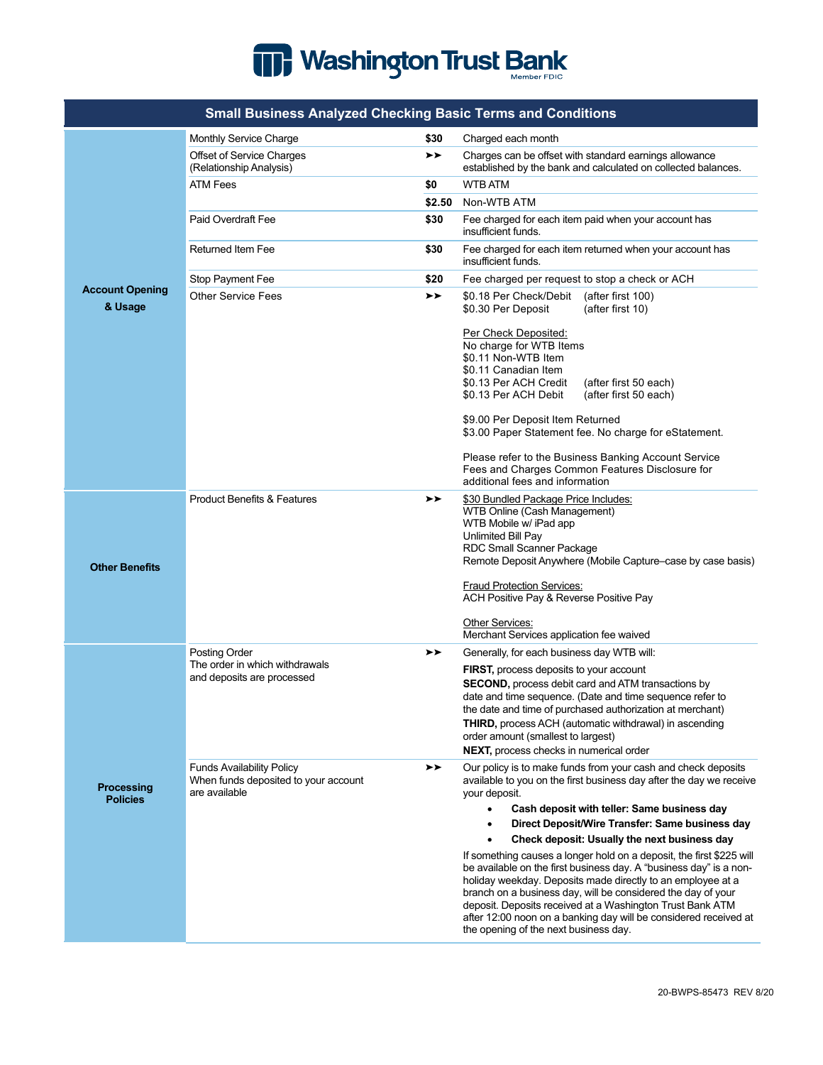

|                                      | oman Dusincss Anaryzeu Oneeking Dasie Terms and Oonanions                                 |        |                                                                                                                                                                                                                                                                                                                                                                             |
|--------------------------------------|-------------------------------------------------------------------------------------------|--------|-----------------------------------------------------------------------------------------------------------------------------------------------------------------------------------------------------------------------------------------------------------------------------------------------------------------------------------------------------------------------------|
| <b>Account Opening</b><br>& Usage    | Monthly Service Charge                                                                    | \$30   | Charged each month                                                                                                                                                                                                                                                                                                                                                          |
|                                      | Offset of Service Charges<br>(Relationship Analysis)                                      | ➤➤     | Charges can be offset with standard earnings allowance<br>established by the bank and calculated on collected balances.                                                                                                                                                                                                                                                     |
|                                      | ATM Fees                                                                                  | \$0    | <b>WTB ATM</b>                                                                                                                                                                                                                                                                                                                                                              |
|                                      |                                                                                           | \$2.50 | Non-WTB ATM                                                                                                                                                                                                                                                                                                                                                                 |
|                                      | Paid Overdraft Fee                                                                        | \$30   | Fee charged for each item paid when your account has<br>insufficient funds.                                                                                                                                                                                                                                                                                                 |
|                                      | <b>Returned Item Fee</b>                                                                  | \$30   | Fee charged for each item returned when your account has<br>insufficient funds.                                                                                                                                                                                                                                                                                             |
|                                      | Stop Payment Fee                                                                          | \$20   | Fee charged per request to stop a check or ACH                                                                                                                                                                                                                                                                                                                              |
|                                      | <b>Other Service Fees</b>                                                                 | ➤➤     | \$0.18 Per Check/Debit<br>(after first 100)<br>\$0.30 Per Deposit<br>(after first 10)                                                                                                                                                                                                                                                                                       |
|                                      |                                                                                           |        | Per Check Deposited:<br>No charge for WTB Items<br>\$0.11 Non-WTB Item<br>\$0.11 Canadian Item<br>\$0.13 Per ACH Credit<br>(after first 50 each)<br>\$0.13 Per ACH Debit<br>(after first 50 each)                                                                                                                                                                           |
|                                      |                                                                                           |        | \$9.00 Per Deposit Item Returned<br>\$3.00 Paper Statement fee. No charge for eStatement.                                                                                                                                                                                                                                                                                   |
|                                      |                                                                                           |        | Please refer to the Business Banking Account Service<br>Fees and Charges Common Features Disclosure for<br>additional fees and information                                                                                                                                                                                                                                  |
| <b>Other Benefits</b>                | <b>Product Benefits &amp; Features</b>                                                    | ➤➤     | \$30 Bundled Package Price Includes:<br>WTB Online (Cash Management)<br>WTB Mobile w/ iPad app<br>Unlimited Bill Pay<br><b>RDC Small Scanner Package</b><br>Remote Deposit Anywhere (Mobile Capture–case by case basis)                                                                                                                                                     |
|                                      |                                                                                           |        | <b>Fraud Protection Services:</b><br>ACH Positive Pay & Reverse Positive Pay                                                                                                                                                                                                                                                                                                |
|                                      |                                                                                           |        | Other Services:<br>Merchant Services application fee waived                                                                                                                                                                                                                                                                                                                 |
| <b>Processing</b><br><b>Policies</b> | Posting Order<br>The order in which withdrawals                                           | ➤➤     | Generally, for each business day WTB will:                                                                                                                                                                                                                                                                                                                                  |
|                                      | and deposits are processed                                                                |        | FIRST, process deposits to your account<br><b>SECOND, process debit card and ATM transactions by</b><br>date and time sequence. (Date and time sequence refer to<br>the date and time of purchased authorization at merchant)<br>THIRD, process ACH (automatic withdrawal) in ascending                                                                                     |
|                                      |                                                                                           |        | order amount (smallest to largest)<br>NEXT, process checks in numerical order                                                                                                                                                                                                                                                                                               |
|                                      | <b>Funds Availability Policy</b><br>When funds deposited to your account<br>are available | ➤➤     | Our policy is to make funds from your cash and check deposits<br>available to you on the first business day after the day we receive<br>your deposit.<br>$\bullet$                                                                                                                                                                                                          |
|                                      |                                                                                           |        | Cash deposit with teller: Same business day<br>Direct Deposit/Wire Transfer: Same business day<br>$\bullet$                                                                                                                                                                                                                                                                 |
|                                      |                                                                                           |        | Check deposit: Usually the next business day<br>$\bullet$                                                                                                                                                                                                                                                                                                                   |
|                                      |                                                                                           |        | If something causes a longer hold on a deposit, the first \$225 will                                                                                                                                                                                                                                                                                                        |
|                                      |                                                                                           |        | be available on the first business day. A "business day" is a non-<br>holiday weekday. Deposits made directly to an employee at a<br>branch on a business day, will be considered the day of your<br>deposit. Deposits received at a Washington Trust Bank ATM<br>after 12:00 noon on a banking day will be considered received at<br>the opening of the next business day. |

## **Small Business Analyzed Checking Basic Terms and Conditions**